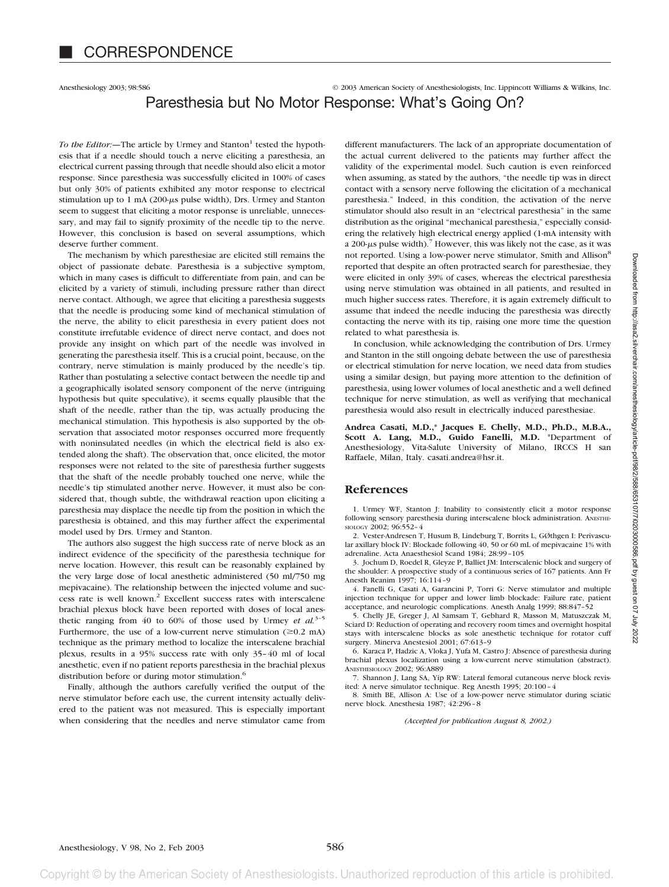Anesthesiology 2003; 98:586 © 2003 American Society of Anesthesiologists, Inc. Lippincott Williams & Wilkins, Inc.

# Paresthesia but No Motor Response: What's Going On?

*To the Editor:*—The article by Urmey and Stanton<sup>1</sup> tested the hypothesis that if a needle should touch a nerve eliciting a paresthesia, an electrical current passing through that needle should also elicit a motor response. Since paresthesia was successfully elicited in 100% of cases but only 30% of patients exhibited any motor response to electrical stimulation up to 1 mA (200- $\mu$ s pulse width), Drs. Urmey and Stanton seem to suggest that eliciting a motor response is unreliable, unnecessary, and may fail to signify proximity of the needle tip to the nerve. However, this conclusion is based on several assumptions, which deserve further comment.

The mechanism by which paresthesiae are elicited still remains the object of passionate debate. Paresthesia is a subjective symptom, which in many cases is difficult to differentiate from pain, and can be elicited by a variety of stimuli, including pressure rather than direct nerve contact. Although, we agree that eliciting a paresthesia suggests that the needle is producing some kind of mechanical stimulation of the nerve, the ability to elicit paresthesia in every patient does not constitute irrefutable evidence of direct nerve contact, and does not provide any insight on which part of the needle was involved in generating the paresthesia itself. This is a crucial point, because, on the contrary, nerve stimulation is mainly produced by the needle's tip. Rather than postulating a selective contact between the needle tip and a geographically isolated sensory component of the nerve (intriguing hypothesis but quite speculative), it seems equally plausible that the shaft of the needle, rather than the tip, was actually producing the mechanical stimulation. This hypothesis is also supported by the observation that associated motor responses occurred more frequently with noninsulated needles (in which the electrical field is also extended along the shaft). The observation that, once elicited, the motor responses were not related to the site of paresthesia further suggests that the shaft of the needle probably touched one nerve, while the needle's tip stimulated another nerve. However, it must also be considered that, though subtle, the withdrawal reaction upon eliciting a paresthesia may displace the needle tip from the position in which the paresthesia is obtained, and this may further affect the experimental model used by Drs. Urmey and Stanton.

The authors also suggest the high success rate of nerve block as an indirect evidence of the specificity of the paresthesia technique for nerve location. However, this result can be reasonably explained by the very large dose of local anesthetic administered (50 ml/750 mg mepivacaine). The relationship between the injected volume and success rate is well known.2 Excellent success rates with interscalene brachial plexus block have been reported with doses of local anesthetic ranging from 40 to 60% of those used by Urmey *et al.*3–5 Furthermore, the use of a low-current nerve stimulation  $(\geq 0.2 \text{ mA})$ technique as the primary method to localize the interscalene brachial plexus, results in a 95% success rate with only 35–40 ml of local anesthetic, even if no patient reports paresthesia in the brachial plexus distribution before or during motor stimulation.<sup>6</sup>

Finally, although the authors carefully verified the output of the nerve stimulator before each use, the current intensity actually delivered to the patient was not measured. This is especially important when considering that the needles and nerve stimulator came from different manufacturers. The lack of an appropriate documentation of the actual current delivered to the patients may further affect the validity of the experimental model. Such caution is even reinforced when assuming, as stated by the authors, "the needle tip was in direct contact with a sensory nerve following the elicitation of a mechanical paresthesia." Indeed, in this condition, the activation of the nerve stimulator should also result in an "electrical paresthesia" in the same distribution as the original "mechanical paresthesia," especially considering the relatively high electrical energy applied (1-mA intensity with a 200- $\mu$ s pulse width).<sup>7</sup> However, this was likely not the case, as it was not reported. Using a low-power nerve stimulator, Smith and Allison<sup>8</sup> reported that despite an often protracted search for paresthesiae, they were elicited in only 39% of cases, whereas the electrical paresthesia using nerve stimulation was obtained in all patients, and resulted in much higher success rates. Therefore, it is again extremely difficult to assume that indeed the needle inducing the paresthesia was directly contacting the nerve with its tip, raising one more time the question related to what paresthesia is.

In conclusion, while acknowledging the contribution of Drs. Urmey and Stanton in the still ongoing debate between the use of paresthesia or electrical stimulation for nerve location, we need data from studies using a similar design, but paying more attention to the definition of paresthesia, using lower volumes of local anesthetic and a well defined technique for nerve stimulation, as well as verifying that mechanical paresthesia would also result in electrically induced paresthesiae.

**Andrea Casati, M.D.,\* Jacques E. Chelly, M.D., Ph.D., M.B.A., Scott A. Lang, M.D., Guido Fanelli, M.D.** \*Department of Anesthesiology, Vita-Salute University of Milano, IRCCS H san Raffaele, Milan, Italy. casati.andrea@hsr.it.

#### **References**

1. Urmey WF, Stanton J: Inability to consistently elicit a motor response following sensory paresthesia during interscalene block administration. ANESTHE-SIOLOGY 2002; 96:552–4

2. Vester-Andresen T, Husum B, Lindeburg T, Borrits L, GØthgen I: Perivascular axillary block IV: Blockade following 40, 50 or 60 mL of mepivacaine 1% with adrenaline. Acta Anaesthesiol Scand 1984; 28:99–105

3. Jochum D, Roedel R, Gleyze P, Balliet JM: Interscalenic block and surgery of the shoulder: A prospective study of a continuous series of 167 patients. Ann Fr Anesth Reanim 1997; 16:114–9

4. Fanelli G, Casati A, Garancini P, Torri G: Nerve stimulator and multiple injection technique for upper and lower limb blockade: Failure rate, patient acceptance, and neurologic complications. Anesth Analg 1999; 88:847–52

5. Chelly JE, Greger J, Al Samsam T, Gebhard R, Masson M, Matuszczak M, Sciard D: Reduction of operating and recovery room times and overnight hospital stays with interscalene blocks as sole anesthetic technique for rotator cuff surgery. Minerva Anestesiol 2001; 67:613–9

6. Karaca P, Hadzic A, Vloka J, Yufa M, Castro J: Absence of paresthesia during brachial plexus localization using a low-current nerve stimulation (abstract). ANESTHESIOLOGY 2002; 96:A889

7. Shannon J, Lang SA, Yip RW: Lateral femoral cutaneous nerve block revisited: A nerve simulator technique. Reg Anesth 1995; 20:100–4

8. Smith BE, Allison A: Use of a low-power nerve stimulator during sciatic nerve block. Anesthesia 1987; 42:296–8

*(Accepted for publication August 8, 2002.)*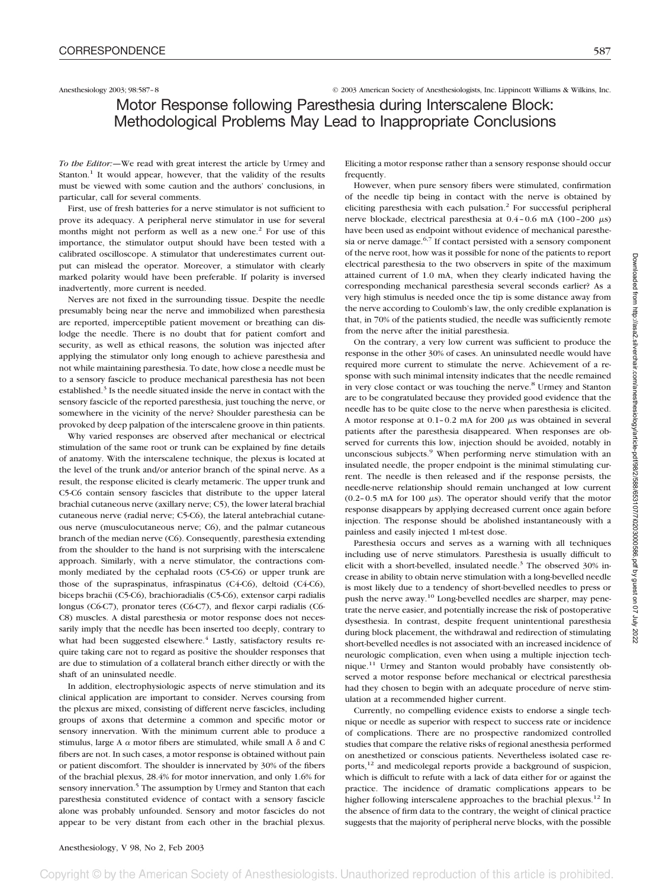Anesthesiology 2003; 98:587–8 © 2003 American Society of Anesthesiologists, Inc. Lippincott Williams & Wilkins, Inc.

# Motor Response following Paresthesia during Interscalene Block: Methodological Problems May Lead to Inappropriate Conclusions

*To the Editor:—*We read with great interest the article by Urmey and Stanton.<sup>1</sup> It would appear, however, that the validity of the results must be viewed with some caution and the authors' conclusions, in particular, call for several comments.

First, use of fresh batteries for a nerve stimulator is not sufficient to prove its adequacy. A peripheral nerve stimulator in use for several months might not perform as well as a new one.<sup>2</sup> For use of this importance, the stimulator output should have been tested with a calibrated oscilloscope. A stimulator that underestimates current output can mislead the operator. Moreover, a stimulator with clearly marked polarity would have been preferable. If polarity is inversed inadvertently, more current is needed.

Nerves are not fixed in the surrounding tissue. Despite the needle presumably being near the nerve and immobilized when paresthesia are reported, imperceptible patient movement or breathing can dislodge the needle. There is no doubt that for patient comfort and security, as well as ethical reasons, the solution was injected after applying the stimulator only long enough to achieve paresthesia and not while maintaining paresthesia. To date, how close a needle must be to a sensory fascicle to produce mechanical paresthesia has not been established.<sup>3</sup> Is the needle situated inside the nerve in contact with the sensory fascicle of the reported paresthesia, just touching the nerve, or somewhere in the vicinity of the nerve? Shoulder paresthesia can be provoked by deep palpation of the interscalene groove in thin patients.

Why varied responses are observed after mechanical or electrical stimulation of the same root or trunk can be explained by fine details of anatomy. With the interscalene technique, the plexus is located at the level of the trunk and/or anterior branch of the spinal nerve. As a result, the response elicited is clearly metameric. The upper trunk and C5-C6 contain sensory fascicles that distribute to the upper lateral brachial cutaneous nerve (axillary nerve; C5), the lower lateral brachial cutaneous nerve (radial nerve; C5-C6), the lateral antebrachial cutaneous nerve (musculocutaneous nerve; C6), and the palmar cutaneous branch of the median nerve (C6). Consequently, paresthesia extending from the shoulder to the hand is not surprising with the interscalene approach. Similarly, with a nerve stimulator, the contractions commonly mediated by the cephalad roots (C5-C6) or upper trunk are those of the supraspinatus, infraspinatus (C4-C6), deltoid (C4-C6), biceps brachii (C5-C6), brachioradialis (C5-C6), extensor carpi radialis longus (C6-C7), pronator teres (C6-C7), and flexor carpi radialis (C6- C8) muscles. A distal paresthesia or motor response does not necessarily imply that the needle has been inserted too deeply, contrary to what had been suggested elsewhere.<sup>4</sup> Lastly, satisfactory results require taking care not to regard as positive the shoulder responses that are due to stimulation of a collateral branch either directly or with the shaft of an uninsulated needle.

In addition, electrophysiologic aspects of nerve stimulation and its clinical application are important to consider. Nerves coursing from the plexus are mixed, consisting of different nerve fascicles, including groups of axons that determine a common and specific motor or sensory innervation. With the minimum current able to produce a stimulus, large A  $\alpha$  motor fibers are stimulated, while small A  $\delta$  and C fibers are not. In such cases, a motor response is obtained without pain or patient discomfort. The shoulder is innervated by 30% of the fibers of the brachial plexus, 28.4% for motor innervation, and only 1.6% for sensory innervation.<sup>5</sup> The assumption by Urmey and Stanton that each paresthesia constituted evidence of contact with a sensory fascicle alone was probably unfounded. Sensory and motor fascicles do not appear to be very distant from each other in the brachial plexus.

Eliciting a motor response rather than a sensory response should occur frequently.

However, when pure sensory fibers were stimulated, confirmation of the needle tip being in contact with the nerve is obtained by eliciting paresthesia with each pulsation.<sup>2</sup> For successful peripheral nerve blockade, electrical paresthesia at  $0.4$  -  $0.6$  mA (100-200  $\mu$ s) have been used as endpoint without evidence of mechanical paresthesia or nerve damage.<sup>6,7</sup> If contact persisted with a sensory component of the nerve root, how was it possible for none of the patients to report electrical paresthesia to the two observers in spite of the maximum attained current of 1.0 mA, when they clearly indicated having the corresponding mechanical paresthesia several seconds earlier? As a very high stimulus is needed once the tip is some distance away from the nerve according to Coulomb's law, the only credible explanation is that, in 70% of the patients studied, the needle was sufficiently remote from the nerve after the initial paresthesia.

On the contrary, a very low current was sufficient to produce the response in the other 30% of cases. An uninsulated needle would have required more current to stimulate the nerve. Achievement of a response with such minimal intensity indicates that the needle remained in very close contact or was touching the nerve.<sup>8</sup> Urmey and Stanton are to be congratulated because they provided good evidence that the needle has to be quite close to the nerve when paresthesia is elicited. A motor response at  $0.1-0.2$  mA for 200  $\mu$ s was obtained in several patients after the paresthesia disappeared. When responses are observed for currents this low, injection should be avoided, notably in unconscious subjects.<sup>9</sup> When performing nerve stimulation with an insulated needle, the proper endpoint is the minimal stimulating current. The needle is then released and if the response persists, the needle-nerve relationship should remain unchanged at low current (0.2-0.5 mA for 100  $\mu$ s). The operator should verify that the motor response disappears by applying decreased current once again before injection. The response should be abolished instantaneously with a painless and easily injected 1 ml-test dose.

Paresthesia occurs and serves as a warning with all techniques including use of nerve stimulators. Paresthesia is usually difficult to elicit with a short-bevelled, insulated needle.<sup>3</sup> The observed  $30\%$  increase in ability to obtain nerve stimulation with a long-bevelled needle is most likely due to a tendency of short-bevelled needles to press or push the nerve away.<sup>10</sup> Long-bevelled needles are sharper, may penetrate the nerve easier, and potentially increase the risk of postoperative dysesthesia. In contrast, despite frequent unintentional paresthesia during block placement, the withdrawal and redirection of stimulating short-bevelled needles is not associated with an increased incidence of neurologic complication, even when using a multiple injection technique. $11$  Urmey and Stanton would probably have consistently observed a motor response before mechanical or electrical paresthesia had they chosen to begin with an adequate procedure of nerve stimulation at a recommended higher current.

Currently, no compelling evidence exists to endorse a single technique or needle as superior with respect to success rate or incidence of complications. There are no prospective randomized controlled studies that compare the relative risks of regional anesthesia performed on anesthetized or conscious patients. Nevertheless isolated case reports,<sup>12</sup> and medicolegal reports provide a background of suspicion, which is difficult to refute with a lack of data either for or against the practice. The incidence of dramatic complications appears to be higher following interscalene approaches to the brachial plexus.12 In the absence of firm data to the contrary, the weight of clinical practice suggests that the majority of peripheral nerve blocks, with the possible

Convright © by the American Society of Anesthesiologists. Unauthorized reproduction of this article is prohibited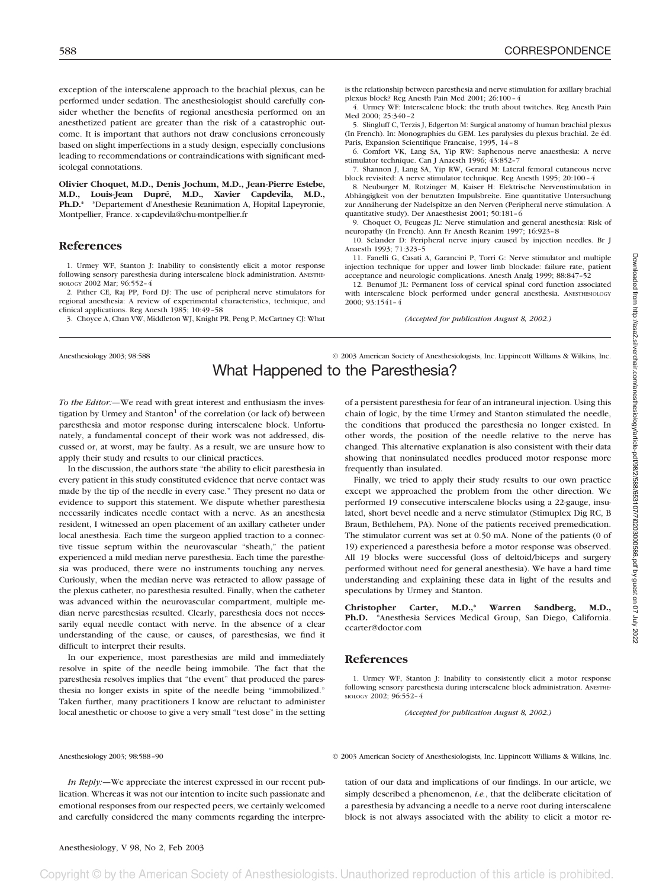exception of the interscalene approach to the brachial plexus, can be performed under sedation. The anesthesiologist should carefully consider whether the benefits of regional anesthesia performed on an anesthetized patient are greater than the risk of a catastrophic outcome. It is important that authors not draw conclusions erroneously based on slight imperfections in a study design, especially conclusions leading to recommendations or contraindications with significant medicolegal connotations.

**Olivier Choquet, M.D., Denis Jochum, M.D., Jean-Pierre Estebe, M.D., Louis-Jean Dupré, M.D., Xavier Capdevila, M.D., Ph.D.\*** \*Departement d'Anesthesie Reanimation A, Hopital Lapeyronie, Montpellier, France. x-capdevila@chu-montpellier.fr

#### **References**

1. Urmey WF, Stanton J: Inability to consistently elicit a motor response following sensory paresthesia during interscalene block administration. ANESTHE-SIOLOGY 2002 Mar; 96:552–4

2. Pither CE, Raj PP, Ford DJ: The use of peripheral nerve stimulators for regional anesthesia: A review of experimental characteristics, technique, and clinical applications. Reg Anesth 1985; 10:49–58

3. Choyce A, Chan VW, Middleton WJ, Knight PR, Peng P, McCartney CJ: What

is the relationship between paresthesia and nerve stimulation for axillary brachial plexus block? Reg Anesth Pain Med 2001; 26:100–4

4. Urmey WF: Interscalene block: the truth about twitches. Reg Anesth Pain Med 2000; 25:340–2

5. Slingluff C, Terzis J, Edgerton M: Surgical anatomy of human brachial plexus (In French). In: Monographies du GEM. Les paralysies du plexus brachial. 2e éd. Paris, Expansion Scientifique Francaise, 1995, 14–8

6. Comfort VK, Lang SA, Yip RW: Saphenous nerve anaesthesia: A nerve stimulator technique. Can J Anaesth 1996; 43:852–7

7. Shannon J, Lang SA, Yip RW, Gerard M: Lateral femoral cutaneous nerve block revisited: A nerve stimulator technique. Reg Anesth 1995; 20:100–4

8. Neuburger M, Rotzinger M, Kaiser H: Elektrische Nervenstimulation in Abhängigkeit von der benutzten Impulsbreite. Eine quantitative Untersuchung zur Annäherung der Nadelspitze an den Nerven (Peripheral nerve stimulation. A quantitative study). Der Anaesthesist 2001; 50:181–6

9. Choquet O, Feugeas JL: Nerve stimulation and general anesthesia: Risk of neuropathy (In French). Ann Fr Anesth Reanim 1997; 16:923–8

10. Selander D: Peripheral nerve injury caused by injection needles. Br J Anaesth 1993; 71:323–5

11. Fanelli G, Casati A, Garancini P, Torri G: Nerve stimulator and multiple injection technique for upper and lower limb blockade: failure rate, patient acceptance and neurologic complications. Anesth Analg 1999; 88:847–52

12. Benumof JL: Permanent loss of cervical spinal cord function associated with interscalene block performed under general anesthesia. ANESTHESIOLOGY 2000; 93:1541–4

*(Accepted for publication August 8, 2002.)*

## Anesthesiology 2003; 98:588 © 2003 American Society of Anesthesiologists, Inc. Lippincott Williams & Wilkins, Inc. What Happened to the Paresthesia?

*To the Editor:—*We read with great interest and enthusiasm the investigation by Urmey and Stanton $<sup>1</sup>$  of the correlation (or lack of) between</sup> paresthesia and motor response during interscalene block. Unfortunately, a fundamental concept of their work was not addressed, discussed or, at worst, may be faulty. As a result, we are unsure how to apply their study and results to our clinical practices.

In the discussion, the authors state "the ability to elicit paresthesia in every patient in this study constituted evidence that nerve contact was made by the tip of the needle in every case." They present no data or evidence to support this statement. We dispute whether paresthesia necessarily indicates needle contact with a nerve. As an anesthesia resident, I witnessed an open placement of an axillary catheter under local anesthesia. Each time the surgeon applied traction to a connective tissue septum within the neurovascular "sheath," the patient experienced a mild median nerve paresthesia. Each time the paresthesia was produced, there were no instruments touching any nerves. Curiously, when the median nerve was retracted to allow passage of the plexus catheter, no paresthesia resulted. Finally, when the catheter was advanced within the neurovascular compartment, multiple median nerve paresthesias resulted. Clearly, paresthesia does not necessarily equal needle contact with nerve. In the absence of a clear understanding of the cause, or causes, of paresthesias, we find it difficult to interpret their results.

In our experience, most paresthesias are mild and immediately resolve in spite of the needle being immobile. The fact that the paresthesia resolves implies that "the event" that produced the paresthesia no longer exists in spite of the needle being "immobilized." Taken further, many practitioners I know are reluctant to administer local anesthetic or choose to give a very small "test dose" in the setting of a persistent paresthesia for fear of an intraneural injection. Using this chain of logic, by the time Urmey and Stanton stimulated the needle, the conditions that produced the paresthesia no longer existed. In other words, the position of the needle relative to the nerve has changed. This alternative explanation is also consistent with their data showing that noninsulated needles produced motor response more frequently than insulated.

Finally, we tried to apply their study results to our own practice except we approached the problem from the other direction. We performed 19 consecutive interscalene blocks using a 22-gauge, insulated, short bevel needle and a nerve stimulator (Stimuplex Dig RC, B Braun, Bethlehem, PA). None of the patients received premedication. The stimulator current was set at 0.50 mA. None of the patients (0 of 19) experienced a paresthesia before a motor response was observed. All 19 blocks were successful (loss of deltoid/biceps and surgery performed without need for general anesthesia). We have a hard time understanding and explaining these data in light of the results and speculations by Urmey and Stanton.

**Christopher Carter, M.D.,\* Warren Sandberg, M.D., Ph.D.** \*Anesthesia Services Medical Group, San Diego, California. ccarter@doctor.com

#### **References**

1. Urmey WF, Stanton J: Inability to consistently elicit a motor response following sensory paresthesia during interscalene block administration. ANESTHE-SIOLOGY 2002; 96:552–4

*(Accepted for publication August 8, 2002.)*

Anesthesiology 2003; 98:588–90 © 2003 American Society of Anesthesiologists, Inc. Lippincott Williams & Wilkins, Inc.

*In Reply:—*We appreciate the interest expressed in our recent publication. Whereas it was not our intention to incite such passionate and emotional responses from our respected peers, we certainly welcomed and carefully considered the many comments regarding the interpretation of our data and implications of our findings. In our article, we simply described a phenomenon, *i.e.*, that the deliberate elicitation of a paresthesia by advancing a needle to a nerve root during interscalene block is not always associated with the ability to elicit a motor re-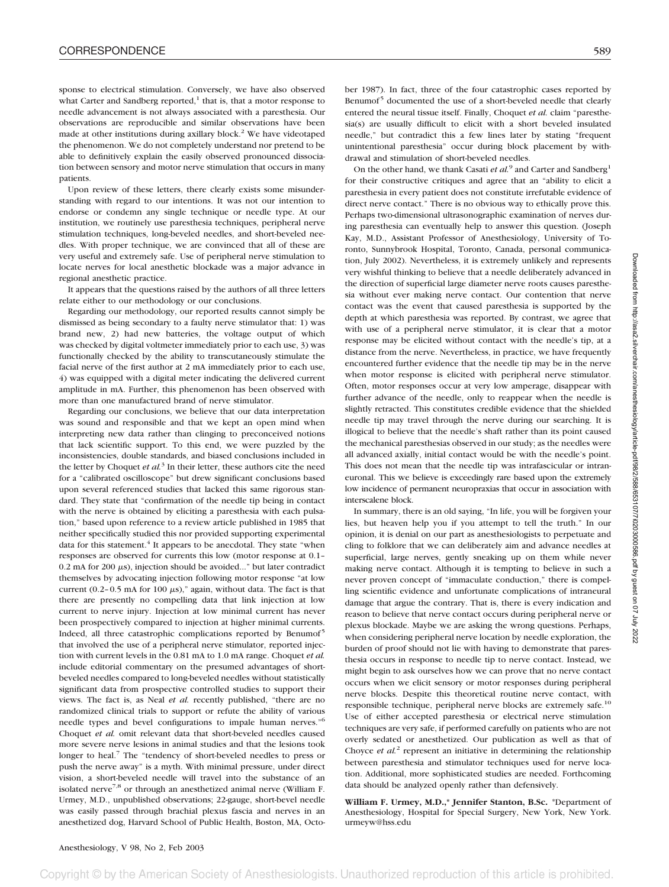sponse to electrical stimulation. Conversely, we have also observed what Carter and Sandberg reported, $<sup>1</sup>$  that is, that a motor response to</sup> needle advancement is not always associated with a paresthesia. Our observations are reproducible and similar observations have been made at other institutions during axillary block.<sup>2</sup> We have videotaped the phenomenon. We do not completely understand nor pretend to be able to definitively explain the easily observed pronounced dissociation between sensory and motor nerve stimulation that occurs in many patients.

Upon review of these letters, there clearly exists some misunderstanding with regard to our intentions. It was not our intention to endorse or condemn any single technique or needle type. At our institution, we routinely use paresthesia techniques, peripheral nerve stimulation techniques, long-beveled needles, and short-beveled needles. With proper technique, we are convinced that all of these are very useful and extremely safe. Use of peripheral nerve stimulation to locate nerves for local anesthetic blockade was a major advance in regional anesthetic practice.

It appears that the questions raised by the authors of all three letters relate either to our methodology or our conclusions.

Regarding our methodology, our reported results cannot simply be dismissed as being secondary to a faulty nerve stimulator that: 1) was brand new, 2) had new batteries, the voltage output of which was checked by digital voltmeter immediately prior to each use, 3) was functionally checked by the ability to transcutaneously stimulate the facial nerve of the first author at 2 mA immediately prior to each use, 4) was equipped with a digital meter indicating the delivered current amplitude in mA. Further, this phenomenon has been observed with more than one manufactured brand of nerve stimulator.

Regarding our conclusions, we believe that our data interpretation was sound and responsible and that we kept an open mind when interpreting new data rather than clinging to preconceived notions that lack scientific support. To this end, we were puzzled by the inconsistencies, double standards, and biased conclusions included in the letter by Choquet *et al.*<sup>3</sup> In their letter, these authors cite the need for a "calibrated oscilloscope" but drew significant conclusions based upon several referenced studies that lacked this same rigorous standard. They state that "confirmation of the needle tip being in contact with the nerve is obtained by eliciting a paresthesia with each pulsation," based upon reference to a review article published in 1985 that neither specifically studied this nor provided supporting experimental data for this statement.<sup>4</sup> It appears to be anecdotal. They state "when responses are observed for currents this low (motor response at 0.1–  $0.2$  mA for 200  $\mu$ s), injection should be avoided..." but later contradict themselves by advocating injection following motor response "at low current (0.2-0.5 mA for 100  $\mu$ s)," again, without data. The fact is that there are presently no compelling data that link injection at low current to nerve injury. Injection at low minimal current has never been prospectively compared to injection at higher minimal currents. Indeed, all three catastrophic complications reported by Benumof<sup>5</sup> that involved the use of a peripheral nerve stimulator, reported injection with current levels in the 0.81 mA to 1.0 mA range. Choquet *et al.* include editorial commentary on the presumed advantages of shortbeveled needles compared to long-beveled needles without statistically significant data from prospective controlled studies to support their views. The fact is, as Neal *et al.* recently published, "there are no randomized clinical trials to support or refute the ability of various needle types and bevel configurations to impale human nerves."6 Choquet *et al.* omit relevant data that short-beveled needles caused more severe nerve lesions in animal studies and that the lesions took longer to heal.<sup>7</sup> The "tendency of short-beveled needles to press or push the nerve away" is a myth. With minimal pressure, under direct vision, a short-beveled needle will travel into the substance of an isolated nerve<sup>7,8</sup> or through an anesthetized animal nerve (William F. Urmey, M.D., unpublished observations; 22-gauge, short-bevel needle was easily passed through brachial plexus fascia and nerves in an anesthetized dog, Harvard School of Public Health, Boston, MA, Octo-

ber 1987). In fact, three of the four catastrophic cases reported by Benumof<sup>5</sup> documented the use of a short-beveled needle that clearly entered the neural tissue itself. Finally, Choquet *et al.* claim "paresthesia(s) are usually difficult to elicit with a short beveled insulated needle," but contradict this a few lines later by stating "frequent unintentional paresthesia" occur during block placement by withdrawal and stimulation of short-beveled needles.

On the other hand, we thank Casati *et al.*<sup>9</sup> and Carter and Sandberg<sup>1</sup> for their constructive critiques and agree that an "ability to elicit a paresthesia in every patient does not constitute irrefutable evidence of direct nerve contact." There is no obvious way to ethically prove this. Perhaps two-dimensional ultrasonographic examination of nerves during paresthesia can eventually help to answer this question. (Joseph Kay, M.D., Assistant Professor of Anesthesiology, University of Toronto, Sunnybrook Hospital, Toronto, Canada, personal communication, July 2002). Nevertheless, it is extremely unlikely and represents very wishful thinking to believe that a needle deliberately advanced in the direction of superficial large diameter nerve roots causes paresthesia without ever making nerve contact. Our contention that nerve contact was the event that caused paresthesia is supported by the depth at which paresthesia was reported. By contrast, we agree that with use of a peripheral nerve stimulator, it is clear that a motor response may be elicited without contact with the needle's tip, at a distance from the nerve. Nevertheless, in practice, we have frequently encountered further evidence that the needle tip may be in the nerve when motor response is elicited with peripheral nerve stimulator. Often, motor responses occur at very low amperage, disappear with further advance of the needle, only to reappear when the needle is slightly retracted. This constitutes credible evidence that the shielded needle tip may travel through the nerve during our searching. It is illogical to believe that the needle's shaft rather than its point caused the mechanical paresthesias observed in our study; as the needles were all advanced axially, initial contact would be with the needle's point. This does not mean that the needle tip was intrafascicular or intraneuronal. This we believe is exceedingly rare based upon the extremely low incidence of permanent neuropraxias that occur in association with interscalene block.

In summary, there is an old saying, "In life, you will be forgiven your lies, but heaven help you if you attempt to tell the truth." In our opinion, it is denial on our part as anesthesiologists to perpetuate and cling to folklore that we can deliberately aim and advance needles at superficial, large nerves, gently sneaking up on them while never making nerve contact. Although it is tempting to believe in such a never proven concept of "immaculate conduction," there is compelling scientific evidence and unfortunate complications of intraneural damage that argue the contrary. That is, there is every indication and reason to believe that nerve contact occurs during peripheral nerve or plexus blockade. Maybe we are asking the wrong questions. Perhaps, when considering peripheral nerve location by needle exploration, the burden of proof should not lie with having to demonstrate that paresthesia occurs in response to needle tip to nerve contact. Instead, we might begin to ask ourselves how we can prove that no nerve contact occurs when we elicit sensory or motor responses during peripheral nerve blocks. Despite this theoretical routine nerve contact, with responsible technique, peripheral nerve blocks are extremely safe.<sup>10</sup> Use of either accepted paresthesia or electrical nerve stimulation techniques are very safe, if performed carefully on patients who are not overly sedated or anesthetized. Our publication as well as that of Choyce *et al.*<sup>2</sup> represent an initiative in determining the relationship between paresthesia and stimulator techniques used for nerve location. Additional, more sophisticated studies are needed. Forthcoming data should be analyzed openly rather than defensively.

**William F. Urmey, M.D.,\* Jennifer Stanton, B.Sc.** \*Department of Anesthesiology, Hospital for Special Surgery, New York, New York. urmeyw@hss.edu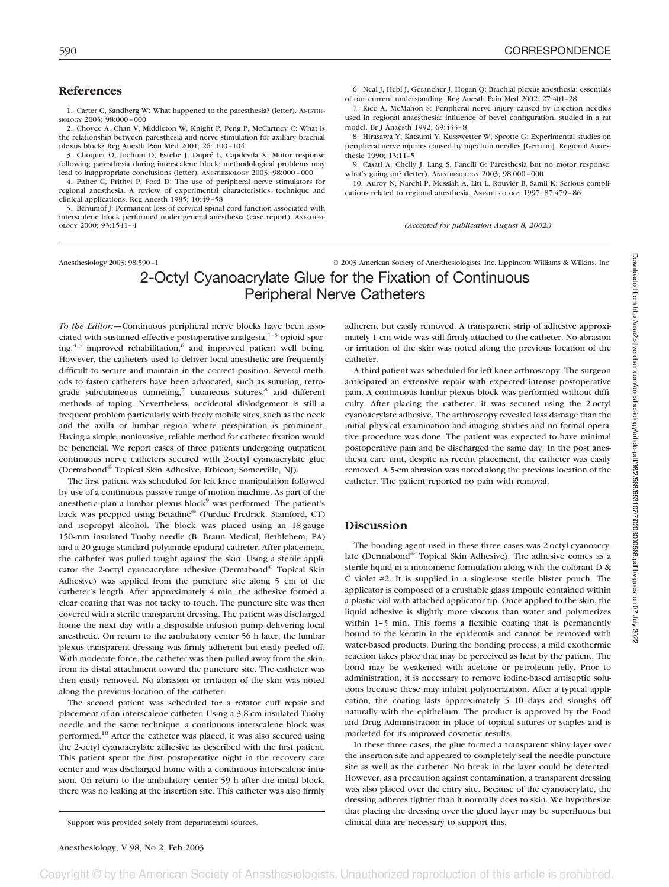### **References**

1. Carter C, Sandberg W: What happened to the paresthesia? (letter). ANESTHE-SIOLOGY 2003; 98:000–000

2. Choyce A, Chan V, Middleton W, Knight P, Peng P, McCartney C: What is the relationship between paresthesia and nerve stimulation for axillary brachial plexus block? Reg Anesth Pain Med 2001; 26: 100–104

3. Choquet O, Jochum D, Estebe J, Dupré L, Capdevila X: Motor response following paresthesia during interscalene block: methodological problems may lead to inappropriate conclusions (letter). ANESTHESIOLOGY 2003; 98:000-000

4. Pither C, Prithvi P, Ford D: The use of peripheral nerve stimulators for regional anesthesia. A review of experimental characteristics, technique and clinical applications. Reg Anesth 1985; 10:49–58

5. Benumof J: Permanent loss of cervical spinal cord function associated with interscalene block performed under general anesthesia (case report). ANESTHESI-OLOGY 2000; 93:1541–4

6. Neal J, Hebl J, Gerancher J, Hogan Q: Brachial plexus anesthesia: essentials of our current understanding. Reg Anesth Pain Med 2002; 27:401–28

7. Rice A, McMahon S: Peripheral nerve injury caused by injection needles used in regional anaesthesia: influence of bevel configuration, studied in a rat model. Br J Anaesth 1992; 69:433–8

8. Hirasawa Y, Katsumi Y, Kusswetter W, Sprotte G: Experimental studies on peripheral nerve injuries caused by injection needles [German]. Regional Anaesthesie 1990; 13:11–5

9. Casati A, Chelly J, Lang S, Fanelli G: Paresthesia but no motor response: what's going on? (letter). ANESTHESIOLOGY 2003; 98:000–000

10. Auroy N, Narchi P, Messiah A, Litt L, Rouvier B, Samii K: Serious complications related to regional anesthesia. ANESTHESIOLOGY 1997; 87:479–86

*(Accepted for publication August 8, 2002.)*

## Anesthesiology 2003; 98:590–1 © 2003 American Society of Anesthesiologists, Inc. Lippincott Williams & Wilkins, Inc. 2-Octyl Cyanoacrylate Glue for the Fixation of Continuous Peripheral Nerve Catheters

*To the Editor:—*Continuous peripheral nerve blocks have been associated with sustained effective postoperative analgesia, $1-3$  opioid sparing,<sup>4,5</sup> improved rehabilitation,<sup>6</sup> and improved patient well being. However, the catheters used to deliver local anesthetic are frequently difficult to secure and maintain in the correct position. Several methods to fasten catheters have been advocated, such as suturing, retrograde subcutaneous tunneling, $\frac{7}{7}$  cutaneous sutures, $\frac{8}{7}$  and different methods of taping. Nevertheless, accidental dislodgement is still a frequent problem particularly with freely mobile sites, such as the neck and the axilla or lumbar region where perspiration is prominent. Having a simple, noninvasive, reliable method for catheter fixation would be beneficial. We report cases of three patients undergoing outpatient continuous nerve catheters secured with 2-octyl cyanoacrylate glue (Dermabond® Topical Skin Adhesive, Ethicon, Somerville, NJ).

The first patient was scheduled for left knee manipulation followed by use of a continuous passive range of motion machine. As part of the anesthetic plan a lumbar plexus block<sup>9</sup> was performed. The patient's back was prepped using Betadine® (Purdue Fredrick, Stamford, CT) and isopropyl alcohol. The block was placed using an 18-gauge 150-mm insulated Tuohy needle (B. Braun Medical, Bethlehem, PA) and a 20-gauge standard polyamide epidural catheter. After placement, the catheter was pulled taught against the skin. Using a sterile applicator the 2-octyl cyanoacrylate adhesive (Dermabond® Topical Skin Adhesive) was applied from the puncture site along 5 cm of the catheter's length. After approximately 4 min, the adhesive formed a clear coating that was not tacky to touch. The puncture site was then covered with a sterile transparent dressing. The patient was discharged home the next day with a disposable infusion pump delivering local anesthetic. On return to the ambulatory center 56 h later, the lumbar plexus transparent dressing was firmly adherent but easily peeled off. With moderate force, the catheter was then pulled away from the skin, from its distal attachment toward the puncture site. The catheter was then easily removed. No abrasion or irritation of the skin was noted along the previous location of the catheter.

The second patient was scheduled for a rotator cuff repair and placement of an interscalene catheter. Using a 3.8-cm insulated Tuohy needle and the same technique, a continuous interscalene block was performed.10 After the catheter was placed, it was also secured using the 2-octyl cyanoacrylate adhesive as described with the first patient. This patient spent the first postoperative night in the recovery care center and was discharged home with a continuous interscalene infusion. On return to the ambulatory center 59 h after the initial block, there was no leaking at the insertion site. This catheter was also firmly

adherent but easily removed. A transparent strip of adhesive approximately 1 cm wide was still firmly attached to the catheter. No abrasion or irritation of the skin was noted along the previous location of the catheter.

A third patient was scheduled for left knee arthroscopy. The surgeon anticipated an extensive repair with expected intense postoperative pain. A continuous lumbar plexus block was performed without difficulty. After placing the catheter, it was secured using the 2-octyl cyanoacrylate adhesive. The arthroscopy revealed less damage than the initial physical examination and imaging studies and no formal operative procedure was done. The patient was expected to have minimal postoperative pain and be discharged the same day. In the post anesthesia care unit, despite its recent placement, the catheter was easily removed. A 5-cm abrasion was noted along the previous location of the catheter. The patient reported no pain with removal.

#### **Discussion**

The bonding agent used in these three cases was 2-octyl cyanoacrylate (Dermabond® Topical Skin Adhesive). The adhesive comes as a sterile liquid in a monomeric formulation along with the colorant D & C violet #2. It is supplied in a single-use sterile blister pouch. The applicator is composed of a crushable glass ampoule contained within a plastic vial with attached applicator tip. Once applied to the skin, the liquid adhesive is slightly more viscous than water and polymerizes within 1-3 min. This forms a flexible coating that is permanently bound to the keratin in the epidermis and cannot be removed with water-based products. During the bonding process, a mild exothermic reaction takes place that may be perceived as heat by the patient. The bond may be weakened with acetone or petroleum jelly. Prior to administration, it is necessary to remove iodine-based antiseptic solutions because these may inhibit polymerization. After a typical application, the coating lasts approximately 5–10 days and sloughs off naturally with the epithelium. The product is approved by the Food and Drug Administration in place of topical sutures or staples and is marketed for its improved cosmetic results.

In these three cases, the glue formed a transparent shiny layer over the insertion site and appeared to completely seal the needle puncture site as well as the catheter. No break in the layer could be detected. However, as a precaution against contamination, a transparent dressing was also placed over the entry site. Because of the cyanoacrylate, the dressing adheres tighter than it normally does to skin. We hypothesize that placing the dressing over the glued layer may be superfluous but Support was provided solely from departmental sources. clinical data are necessary to support this.

Convright © by the American Society of Anesthesiologists. Unauthorized reproduction of this article is prohibited